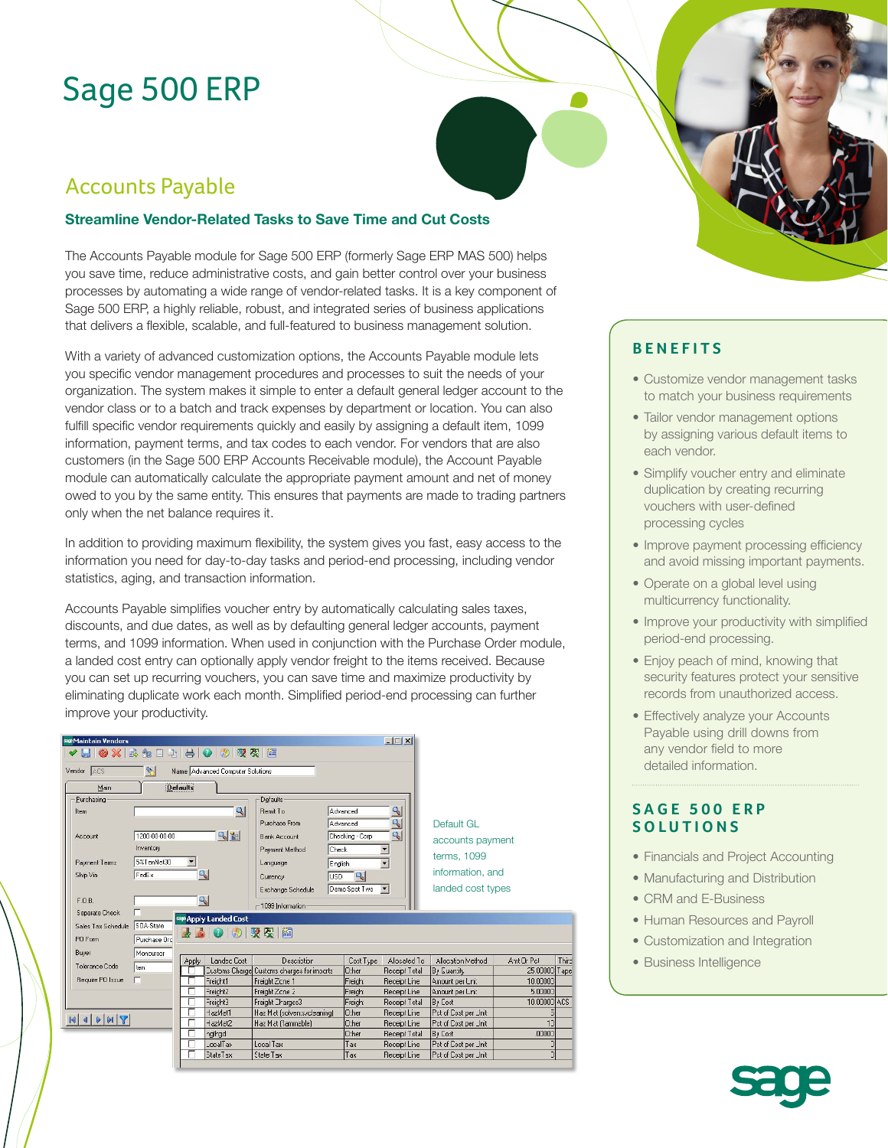# Sage 500 ERP

# Accounts Payable

### **Streamline Vendor-Related Tasks to Save Time and Cut Costs**

The Accounts Payable module for Sage 500 ERP (formerly Sage ERP MAS 500) helps you save time, reduce administrative costs, and gain better control over your business processes by automating a wide range of vendor-related tasks. It is a key component of Sage 500 ERP, a highly reliable, robust, and integrated series of business applications that delivers a flexible, scalable, and full-featured to business management solution.

With a variety of advanced customization options, the Accounts Payable module lets you specific vendor management procedures and processes to suit the needs of your organization. The system makes it simple to enter a default general ledger account to the vendor class or to a batch and track expenses by department or location. You can also fulfill specific vendor requirements quickly and easily by assigning a default item, 1099 information, payment terms, and tax codes to each vendor. For vendors that are also customers (in the Sage 500 ERP Accounts Receivable module), the Account Payable module can automatically calculate the appropriate payment amount and net of money owed to you by the same entity. This ensures that payments are made to trading partners only when the net balance requires it.

In addition to providing maximum flexibility, the system gives you fast, easy access to the information you need for day-to-day tasks and period-end processing, including vendor statistics, aging, and transaction information.

Accounts Payable simplifies voucher entry by automatically calculating sales taxes, discounts, and due dates, as well as by defaulting general ledger accounts, payment terms, and 1099 information. When used in conjunction with the Purchase Order module, a landed cost entry can optionally apply vendor freight to the items received. Because you can set up recurring vouchers, you can save time and maximize productivity by eliminating duplicate work each month. Simplified period-end processing can further improve your productivity.



## **BENEFITS**

- Customize vendor management tasks to match your business requirements
- Tailor vendor management options by assigning various default items to each vendor.
- Simplify voucher entry and eliminate duplication by creating recurring vouchers with user-defined processing cycles
- Improve payment processing efficiency and avoid missing important payments.
- Operate on a global level using multicurrency functionality.
- Improve your productivity with simplified period-end processing.
- Enjoy peach of mind, knowing that security features protect your sensitive records from unauthorized access.
- Effectively analyze your Accounts Payable using drill downs from any vendor field to more detailed information.

### **SAGE 500 ERP SOLUTIONS**

- Financials and Project Accounting
- Manufacturing and Distribution
- CRM and E-Business
- Human Resources and Payroll
- Customization and Integration
- Business Intelligence